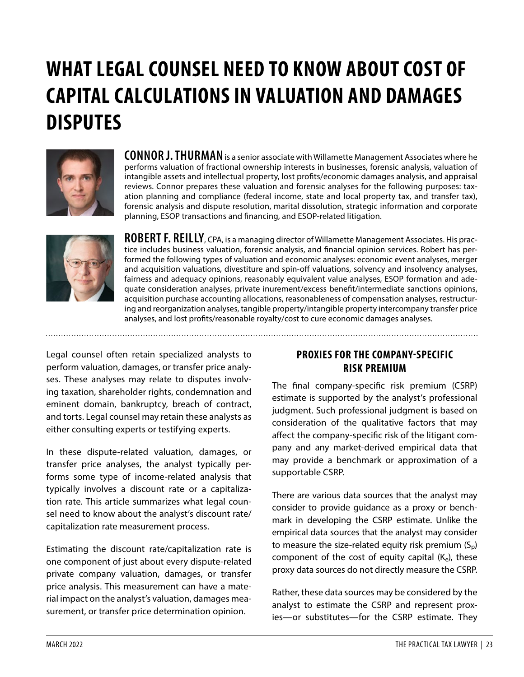# **WHAT LEGAL COUNSEL NEED TO KNOW ABOUT COST OF CAPITAL CALCULATIONS IN VALUATION AND DAMAGES DISPUTES**



**CONNOR J. THURMAN** is a senior associate with Willamette Management Associates where he performs valuation of fractional ownership interests in businesses, forensic analysis, valuation of intangible assets and intellectual property, lost profits/economic damages analysis, and appraisal reviews. Connor prepares these valuation and forensic analyses for the following purposes: taxation planning and compliance (federal income, state and local property tax, and transfer tax), forensic analysis and dispute resolution, marital dissolution, strategic information and corporate planning, ESOP transactions and financing, and ESOP-related litigation.



**ROBERT F. REILLY**, CPA, is a managing director of Willamette Management Associates. His practice includes business valuation, forensic analysis, and financial opinion services. Robert has performed the following types of valuation and economic analyses: economic event analyses, merger and acquisition valuations, divestiture and spin-off valuations, solvency and insolvency analyses, fairness and adequacy opinions, reasonably equivalent value analyses, ESOP formation and adequate consideration analyses, private inurement/excess benefit/intermediate sanctions opinions, acquisition purchase accounting allocations, reasonableness of compensation analyses, restructuring and reorganization analyses, tangible property/intangible property intercompany transfer price analyses, and lost profits/reasonable royalty/cost to cure economic damages analyses.

Legal counsel often retain specialized analysts to perform valuation, damages, or transfer price analyses. These analyses may relate to disputes involving taxation, shareholder rights, condemnation and eminent domain, bankruptcy, breach of contract, and torts. Legal counsel may retain these analysts as either consulting experts or testifying experts.

In these dispute-related valuation, damages, or transfer price analyses, the analyst typically performs some type of income-related analysis that typically involves a discount rate or a capitalization rate. This article summarizes what legal counsel need to know about the analyst's discount rate/ capitalization rate measurement process.

Estimating the discount rate/capitalization rate is one component of just about every dispute-related private company valuation, damages, or transfer price analysis. This measurement can have a material impact on the analyst's valuation, damages measurement, or transfer price determination opinion.

# **PROXIES FOR THE COMPANY-SPECIFIC RISK PREMIUM**

The final company-specific risk premium (CSRP) estimate is supported by the analyst's professional judgment. Such professional judgment is based on consideration of the qualitative factors that may affect the company-specific risk of the litigant company and any market-derived empirical data that may provide a benchmark or approximation of a supportable CSRP.

There are various data sources that the analyst may consider to provide guidance as a proxy or benchmark in developing the CSRP estimate. Unlike the empirical data sources that the analyst may consider to measure the size-related equity risk premium  $(S_p)$ component of the cost of equity capital  $(K_e)$ , these proxy data sources do not directly measure the CSRP.

Rather, these data sources may be considered by the analyst to estimate the CSRP and represent proxies—or substitutes—for the CSRP estimate. They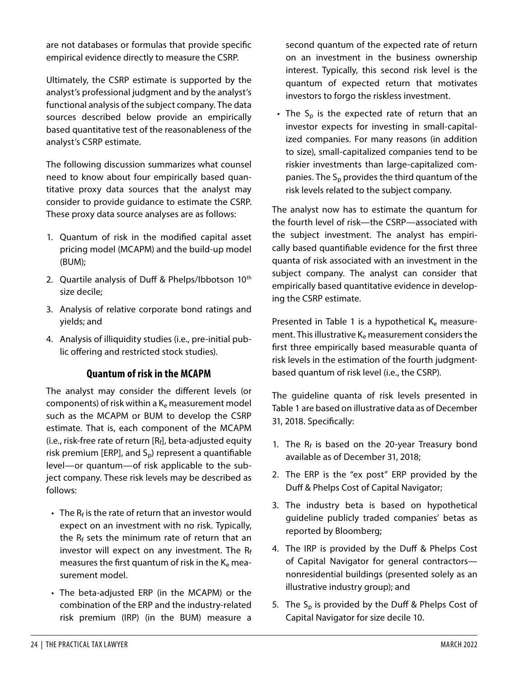are not databases or formulas that provide specific empirical evidence directly to measure the CSRP.

Ultimately, the CSRP estimate is supported by the analyst's professional judgment and by the analyst's functional analysis of the subject company. The data sources described below provide an empirically based quantitative test of the reasonableness of the analyst's CSRP estimate.

The following discussion summarizes what counsel need to know about four empirically based quantitative proxy data sources that the analyst may consider to provide guidance to estimate the CSRP. These proxy data source analyses are as follows:

- 1. Quantum of risk in the modified capital asset pricing model (MCAPM) and the build-up model (BUM);
- 2. Quartile analysis of Duff & Phelps/Ibbotson 10<sup>th</sup> size decile;
- 3. Analysis of relative corporate bond ratings and yields; and
- 4. Analysis of illiquidity studies (i.e., pre-initial public offering and restricted stock studies).

#### **Quantum of risk in the MCAPM**

The analyst may consider the different levels (or components) of risk within a  $K_e$  measurement model such as the MCAPM or BUM to develop the CSRP estimate. That is, each component of the MCAPM (i.e., risk-free rate of return  $[R_f]$ , beta-adjusted equity risk premium [ERP], and  $S_p$ ) represent a quantifiable level—or quantum—of risk applicable to the subject company. These risk levels may be described as follows:

- $\cdot$  The R<sub>f</sub> is the rate of return that an investor would expect on an investment with no risk. Typically, the  $R_f$  sets the minimum rate of return that an investor will expect on any investment. The  $R_f$ measures the first quantum of risk in the  $K_e$  measurement model.
- The beta-adjusted ERP (in the MCAPM) or the combination of the ERP and the industry-related risk premium (IRP) (in the BUM) measure a

second quantum of the expected rate of return on an investment in the business ownership interest. Typically, this second risk level is the quantum of expected return that motivates investors to forgo the riskless investment.

• The  $S_p$  is the expected rate of return that an investor expects for investing in small-capitalized companies. For many reasons (in addition to size), small-capitalized companies tend to be riskier investments than large-capitalized companies. The  $S_p$  provides the third quantum of the risk levels related to the subject company.

The analyst now has to estimate the quantum for the fourth level of risk—the CSRP—associated with the subject investment. The analyst has empirically based quantifiable evidence for the first three quanta of risk associated with an investment in the subject company. The analyst can consider that empirically based quantitative evidence in developing the CSRP estimate.

Presented in Table 1 is a hypothetical  $K_e$  measurement. This illustrative  $K_e$  measurement considers the first three empirically based measurable quanta of risk levels in the estimation of the fourth judgmentbased quantum of risk level (i.e., the CSRP).

The guideline quanta of risk levels presented in Table 1 are based on illustrative data as of December 31, 2018. Specifically:

- 1. The  $R_f$  is based on the 20-year Treasury bond available as of December 31, 2018;
- 2. The ERP is the "ex post" ERP provided by the Duff & Phelps Cost of Capital Navigator;
- 3. The industry beta is based on hypothetical guideline publicly traded companies' betas as reported by Bloomberg;
- 4. The IRP is provided by the Duff & Phelps Cost of Capital Navigator for general contractors nonresidential buildings (presented solely as an illustrative industry group); and
- 5. The  $S_p$  is provided by the Duff & Phelps Cost of Capital Navigator for size decile 10.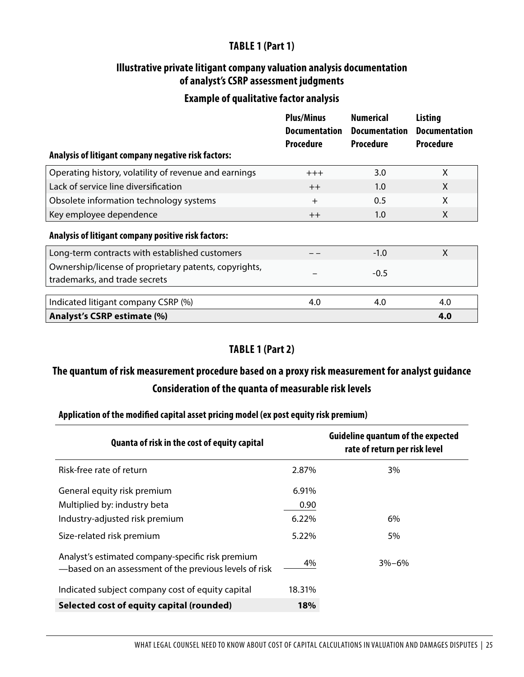# **TABLE 1 (Part 1)**

#### **Illustrative private litigant company valuation analysis documentation of analyst's CSRP assessment judgments**

#### **Example of qualitative factor analysis**

| Analysis of litigant company negative risk factors:                                    | <b>Plus/Minus</b><br><b>Documentation</b><br><b>Procedure</b> | <b>Numerical</b><br><b>Documentation</b><br><b>Procedure</b> | <b>Listing</b><br><b>Documentation</b><br><b>Procedure</b> |
|----------------------------------------------------------------------------------------|---------------------------------------------------------------|--------------------------------------------------------------|------------------------------------------------------------|
| Operating history, volatility of revenue and earnings                                  | $+++$                                                         | 3.0                                                          | X                                                          |
| Lack of service line diversification                                                   | $++$                                                          | 1.0                                                          | X                                                          |
| Obsolete information technology systems                                                | $+$                                                           | 0.5                                                          | X                                                          |
| Key employee dependence                                                                | $++$                                                          | 1.0                                                          | X                                                          |
| Analysis of litigant company positive risk factors:                                    |                                                               |                                                              |                                                            |
| Long-term contracts with established customers                                         |                                                               | $-1.0$                                                       | X                                                          |
| Ownership/license of proprietary patents, copyrights,<br>trademarks, and trade secrets |                                                               | $-0.5$                                                       |                                                            |
|                                                                                        |                                                               |                                                              |                                                            |
| Indicated litigant company CSRP (%)                                                    | 4.0                                                           | 4.0                                                          | 4.0<br>4.0                                                 |
| Analyst's CSRP estimate (%)                                                            |                                                               |                                                              |                                                            |

# **TABLE 1 (Part 2)**

# **The quantum of risk measurement procedure based on a proxy risk measurement for analyst guidance Consideration of the quanta of measurable risk levels**

#### **Application of the modified capital asset pricing model (ex post equity risk premium)**

| Quanta of risk in the cost of equity capital                                                                |        | <b>Guideline quantum of the expected</b><br>rate of return per risk level |
|-------------------------------------------------------------------------------------------------------------|--------|---------------------------------------------------------------------------|
| Risk-free rate of return                                                                                    | 2.87%  | 3%                                                                        |
| General equity risk premium                                                                                 | 6.91%  |                                                                           |
| Multiplied by: industry beta                                                                                | 0.90   |                                                                           |
| Industry-adjusted risk premium                                                                              | 6.22%  | 6%                                                                        |
| Size-related risk premium                                                                                   | 5.22%  | 5%                                                                        |
| Analyst's estimated company-specific risk premium<br>-based on an assessment of the previous levels of risk | 4%     | $3% - 6%$                                                                 |
| Indicated subject company cost of equity capital                                                            | 18.31% |                                                                           |
| Selected cost of equity capital (rounded)                                                                   | 18%    |                                                                           |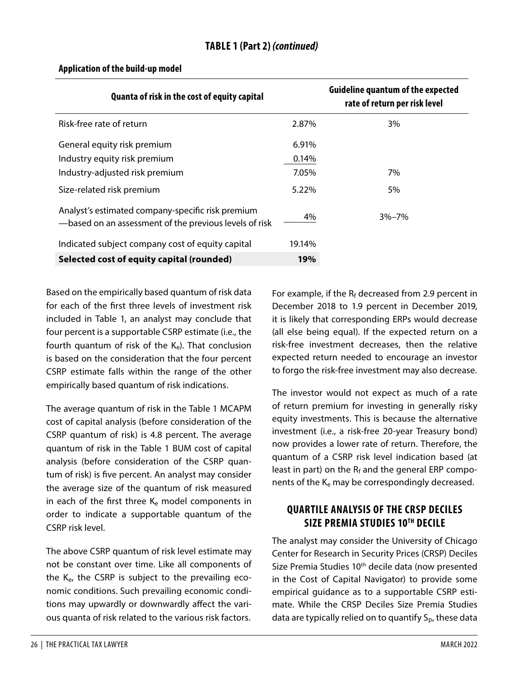| Quanta of risk in the cost of equity capital                                                                |        | <b>Guideline quantum of the expected</b><br>rate of return per risk level |
|-------------------------------------------------------------------------------------------------------------|--------|---------------------------------------------------------------------------|
| Risk-free rate of return                                                                                    | 2.87%  | 3%                                                                        |
| General equity risk premium                                                                                 | 6.91%  |                                                                           |
| Industry equity risk premium                                                                                | 0.14%  |                                                                           |
| Industry-adjusted risk premium                                                                              | 7.05%  | 7%                                                                        |
| Size-related risk premium                                                                                   | 5.22%  | 5%                                                                        |
| Analyst's estimated company-specific risk premium<br>-based on an assessment of the previous levels of risk | 4%     | $3\% - 7\%$                                                               |
| Indicated subject company cost of equity capital                                                            | 19.14% |                                                                           |
| Selected cost of equity capital (rounded)                                                                   | 19%    |                                                                           |

#### **Application of the build-up model**

Based on the empirically based quantum of risk data for each of the first three levels of investment risk included in Table 1, an analyst may conclude that four percent is a supportable CSRP estimate (i.e., the fourth quantum of risk of the  $K_e$ ). That conclusion is based on the consideration that the four percent CSRP estimate falls within the range of the other empirically based quantum of risk indications.

The average quantum of risk in the Table 1 MCAPM cost of capital analysis (before consideration of the CSRP quantum of risk) is 4.8 percent. The average quantum of risk in the Table 1 BUM cost of capital analysis (before consideration of the CSRP quantum of risk) is five percent. An analyst may consider the average size of the quantum of risk measured in each of the first three  $K_e$  model components in order to indicate a supportable quantum of the CSRP risk level.

The above CSRP quantum of risk level estimate may not be constant over time. Like all components of the K<sub>e</sub>, the CSRP is subject to the prevailing economic conditions. Such prevailing economic conditions may upwardly or downwardly affect the various quanta of risk related to the various risk factors.

For example, if the  $R_f$  decreased from 2.9 percent in December 2018 to 1.9 percent in December 2019, it is likely that corresponding ERPs would decrease (all else being equal). If the expected return on a risk-free investment decreases, then the relative expected return needed to encourage an investor to forgo the risk-free investment may also decrease.

The investor would not expect as much of a rate of return premium for investing in generally risky equity investments. This is because the alternative investment (i.e., a risk-free 20-year Treasury bond) now provides a lower rate of return. Therefore, the quantum of a CSRP risk level indication based (at least in part) on the  $R_f$  and the general ERP components of the  $K_e$  may be correspondingly decreased.

# **QUARTILE ANALYSIS OF THE CRSP DECILES SIZE PREMIA STUDIES 10TH DECILE**

The analyst may consider the University of Chicago Center for Research in Security Prices (CRSP) Deciles Size Premia Studies 10<sup>th</sup> decile data (now presented in the Cost of Capital Navigator) to provide some empirical guidance as to a supportable CSRP estimate. While the CRSP Deciles Size Premia Studies data are typically relied on to quantify  $S_{\rm p}$ , these data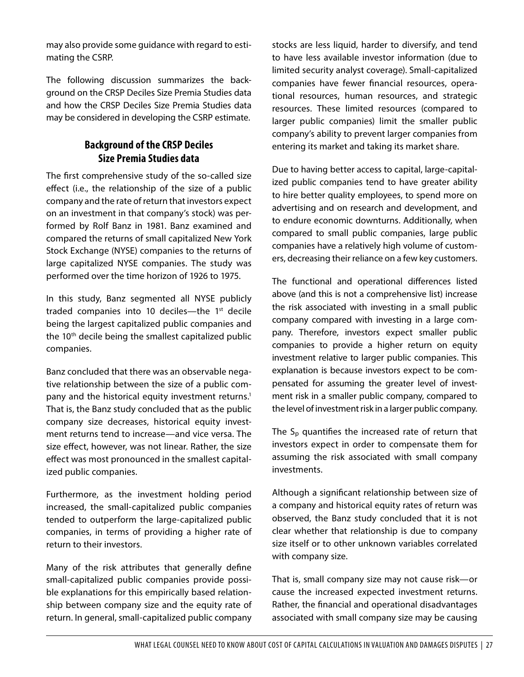may also provide some guidance with regard to estimating the CSRP.

The following discussion summarizes the background on the CRSP Deciles Size Premia Studies data and how the CRSP Deciles Size Premia Studies data may be considered in developing the CSRP estimate.

# **Background of the CRSP Deciles Size Premia Studies data**

The first comprehensive study of the so-called size effect (i.e., the relationship of the size of a public company and the rate of return that investors expect on an investment in that company's stock) was performed by Rolf Banz in 1981. Banz examined and compared the returns of small capitalized New York Stock Exchange (NYSE) companies to the returns of large capitalized NYSE companies. The study was performed over the time horizon of 1926 to 1975.

In this study, Banz segmented all NYSE publicly traded companies into 10 deciles—the 1<sup>st</sup> decile being the largest capitalized public companies and the 10<sup>th</sup> decile being the smallest capitalized public companies.

Banz concluded that there was an observable negative relationship between the size of a public company and the historical equity investment returns.<sup>1</sup> That is, the Banz study concluded that as the public company size decreases, historical equity investment returns tend to increase—and vice versa. The size effect, however, was not linear. Rather, the size effect was most pronounced in the smallest capitalized public companies.

Furthermore, as the investment holding period increased, the small-capitalized public companies tended to outperform the large-capitalized public companies, in terms of providing a higher rate of return to their investors.

Many of the risk attributes that generally define small-capitalized public companies provide possible explanations for this empirically based relationship between company size and the equity rate of return. In general, small-capitalized public company stocks are less liquid, harder to diversify, and tend to have less available investor information (due to limited security analyst coverage). Small-capitalized companies have fewer financial resources, operational resources, human resources, and strategic resources. These limited resources (compared to larger public companies) limit the smaller public company's ability to prevent larger companies from entering its market and taking its market share.

Due to having better access to capital, large-capitalized public companies tend to have greater ability to hire better quality employees, to spend more on advertising and on research and development, and to endure economic downturns. Additionally, when compared to small public companies, large public companies have a relatively high volume of customers, decreasing their reliance on a few key customers.

The functional and operational differences listed above (and this is not a comprehensive list) increase the risk associated with investing in a small public company compared with investing in a large company. Therefore, investors expect smaller public companies to provide a higher return on equity investment relative to larger public companies. This explanation is because investors expect to be compensated for assuming the greater level of investment risk in a smaller public company, compared to the level of investment risk in a larger public company.

The  $S_p$  quantifies the increased rate of return that investors expect in order to compensate them for assuming the risk associated with small company investments.

Although a significant relationship between size of a company and historical equity rates of return was observed, the Banz study concluded that it is not clear whether that relationship is due to company size itself or to other unknown variables correlated with company size.

That is, small company size may not cause risk—or cause the increased expected investment returns. Rather, the financial and operational disadvantages associated with small company size may be causing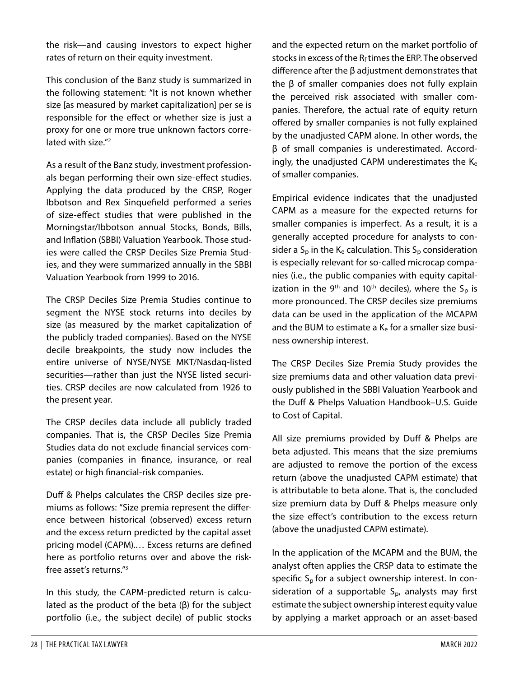the risk—and causing investors to expect higher rates of return on their equity investment.

This conclusion of the Banz study is summarized in the following statement: "It is not known whether size [as measured by market capitalization] per se is responsible for the effect or whether size is just a proxy for one or more true unknown factors correlated with size."<sup>2</sup>

As a result of the Banz study, investment professionals began performing their own size-effect studies. Applying the data produced by the CRSP, Roger Ibbotson and Rex Sinquefield performed a series of size-effect studies that were published in the Morningstar/Ibbotson annual Stocks, Bonds, Bills, and Inflation (SBBI) Valuation Yearbook. Those studies were called the CRSP Deciles Size Premia Studies, and they were summarized annually in the SBBI Valuation Yearbook from 1999 to 2016.

The CRSP Deciles Size Premia Studies continue to segment the NYSE stock returns into deciles by size (as measured by the market capitalization of the publicly traded companies). Based on the NYSE decile breakpoints, the study now includes the entire universe of NYSE/NYSE MKT/Nasdaq-listed securities—rather than just the NYSE listed securities. CRSP deciles are now calculated from 1926 to the present year.

The CRSP deciles data include all publicly traded companies. That is, the CRSP Deciles Size Premia Studies data do not exclude financial services companies (companies in finance, insurance, or real estate) or high financial-risk companies.

Duff & Phelps calculates the CRSP deciles size premiums as follows: "Size premia represent the difference between historical (observed) excess return and the excess return predicted by the capital asset pricing model (CAPM).… Excess returns are defined here as portfolio returns over and above the riskfree asset's returns."[3](#page-21-2)

In this study, the CAPM-predicted return is calculated as the product of the beta (β) for the subject portfolio (i.e., the subject decile) of public stocks and the expected return on the market portfolio of stocks in excess of the  $R_f$  times the ERP. The observed difference after the β adjustment demonstrates that the β of smaller companies does not fully explain the perceived risk associated with smaller companies. Therefore, the actual rate of equity return offered by smaller companies is not fully explained by the unadjusted CAPM alone. In other words, the β of small companies is underestimated. Accordingly, the unadjusted CAPM underestimates the Ke of smaller companies.

Empirical evidence indicates that the unadjusted CAPM as a measure for the expected returns for smaller companies is imperfect. As a result, it is a generally accepted procedure for analysts to consider a  $S_p$  in the  $K_e$  calculation. This  $S_p$  consideration is especially relevant for so-called microcap companies (i.e., the public companies with equity capitalization in the 9<sup>th</sup> and 10<sup>th</sup> deciles), where the S<sub>p</sub> is more pronounced. The CRSP deciles size premiums data can be used in the application of the MCAPM and the BUM to estimate a  $K<sub>e</sub>$  for a smaller size business ownership interest.

The CRSP Deciles Size Premia Study provides the size premiums data and other valuation data previously published in the SBBI Valuation Yearbook and the Duff & Phelps Valuation Handbook–U.S. Guide to Cost of Capital.

All size premiums provided by Duff & Phelps are beta adjusted. This means that the size premiums are adjusted to remove the portion of the excess return (above the unadjusted CAPM estimate) that is attributable to beta alone. That is, the concluded size premium data by Duff & Phelps measure only the size effect's contribution to the excess return (above the unadjusted CAPM estimate).

In the application of the MCAPM and the BUM, the analyst often applies the CRSP data to estimate the specific  $S_p$  for a subject ownership interest. In consideration of a supportable  $S_{\rm p}$ , analysts may first estimate the subject ownership interest equity value by applying a market approach or an asset-based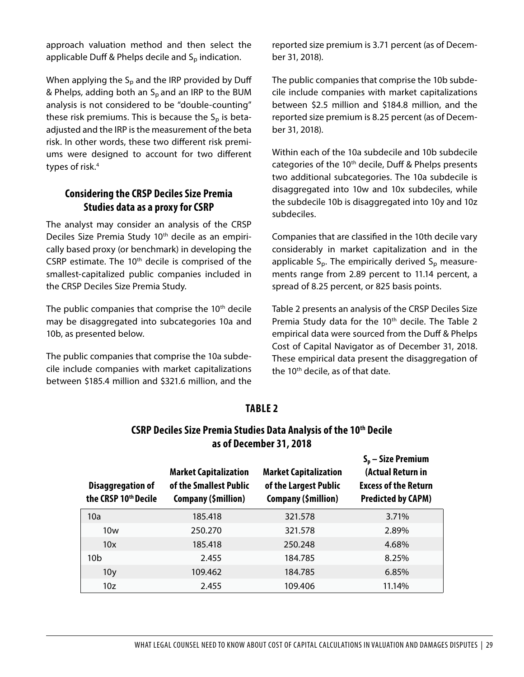approach valuation method and then select the applicable Duff & Phelps decile and  $S_p$  indication.

When applying the  $S_p$  and the IRP provided by Duff & Phelps*,* adding both an Sp and an IRP to the BUM analysis is not considered to be "double-counting" these risk premiums. This is because the  $S_p$  is betaadjusted and the IRP is the measurement of the beta risk. In other words, these two different risk premiums were designed to account for two different types of risk.<sup>[4](#page-21-3)</sup>

#### **Considering the CRSP Deciles Size Premia Studies data as a proxy for CSRP**

The analyst may consider an analysis of the CRSP Deciles Size Premia Study 10<sup>th</sup> decile as an empirically based proxy (or benchmark) in developing the CSRP estimate. The  $10<sup>th</sup>$  decile is comprised of the smallest-capitalized public companies included in the CRSP Deciles Size Premia Study.

The public companies that comprise the  $10<sup>th</sup>$  decile may be disaggregated into subcategories 10a and 10b, as presented below.

The public companies that comprise the 10a subdecile include companies with market capitalizations between \$185.4 million and \$321.6 million, and the reported size premium is 3.71 percent (as of December 31, 2018).

The public companies that comprise the 10b subdecile include companies with market capitalizations between \$2.5 million and \$184.8 million, and the reported size premium is 8.25 percent (as of December 31, 2018).

Within each of the 10a subdecile and 10b subdecile categories of the 10<sup>th</sup> decile, Duff & Phelps presents two additional subcategories. The 10a subdecile is disaggregated into 10w and 10x subdeciles, while the subdecile 10b is disaggregated into 10y and 10z subdeciles.

Companies that are classified in the 10th decile vary considerably in market capitalization and in the applicable  $S_p$ . The empirically derived  $S_p$  measurements range from 2.89 percent to 11.14 percent, a spread of 8.25 percent, or 825 basis points.

Table 2 presents an analysis of the CRSP Deciles Size Premia Study data for the 10<sup>th</sup> decile. The Table 2 empirical data were sourced from the Duff & Phelps Cost of Capital Navigator as of December 31, 2018. These empirical data present the disaggregation of the 10<sup>th</sup> decile, as of that date.

# **CSRP Deciles Size Premia Studies Data Analysis of the 10th Decile as of December 31, 2018 Sp – Size Premium**

**TABLE 2**

| <b>Disaggregation of</b><br>the CRSP 10th Decile | <b>Market Capitalization</b><br>of the Smallest Public<br>Company (\$million) | <b>Market Capitalization</b><br>of the Largest Public<br>Company (\$million) | (Actual Return in<br><b>Excess of the Return</b><br><b>Predicted by CAPM)</b> |
|--------------------------------------------------|-------------------------------------------------------------------------------|------------------------------------------------------------------------------|-------------------------------------------------------------------------------|
| 10a                                              | 185.418                                                                       | 321.578                                                                      | 3.71%                                                                         |
| 10w                                              | 250.270                                                                       | 321.578                                                                      | 2.89%                                                                         |
| 10x                                              | 185.418                                                                       | 250.248                                                                      | 4.68%                                                                         |
| 10b                                              | 2.455                                                                         | 184.785                                                                      | 8.25%                                                                         |
| 10 <sub>V</sub>                                  | 109.462                                                                       | 184.785                                                                      | 6.85%                                                                         |
| 10z                                              | 2.455                                                                         | 109.406                                                                      | 11.14%                                                                        |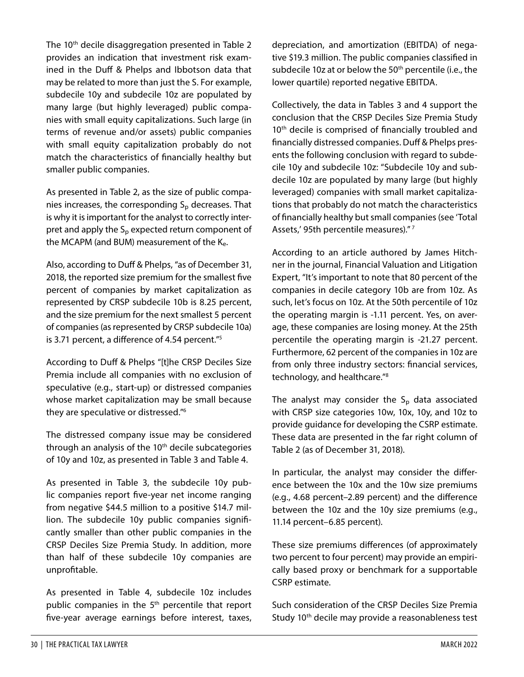The 10<sup>th</sup> decile disaggregation presented in Table 2 provides an indication that investment risk examined in the Duff & Phelps and Ibbotson data that may be related to more than just the S. For example, subdecile 10y and subdecile 10z are populated by many large (but highly leveraged) public companies with small equity capitalizations. Such large (in terms of revenue and/or assets) public companies with small equity capitalization probably do not match the characteristics of financially healthy but smaller public companies.

As presented in Table 2, as the size of public companies increases, the corresponding  $S_p$  decreases. That is why it is important for the analyst to correctly interpret and apply the  $S_p$  expected return component of the MCAPM (and BUM) measurement of the  $K_{e}$ .

Also, according to Duff & Phelps, "as of December 31, 2018, the reported size premium for the smallest five percent of companies by market capitalization as represented by CRSP subdecile 10b is 8.25 percent, and the size premium for the next smallest 5 percent of companies (as represented by CRSP subdecile 10a) is 3.71 percent, a difference of 4.54 percent.["5](#page-21-4)

According to Duff & Phelps "[t]he CRSP Deciles Size Premia include all companies with no exclusion of speculative (e.g., start-up) or distressed companies whose market capitalization may be small because they are speculative or distressed.["6](#page-21-5)

The distressed company issue may be considered through an analysis of the  $10<sup>th</sup>$  decile subcategories of 10y and 10z, as presented in Table 3 and Table 4.

As presented in Table 3, the subdecile 10y public companies report five-year net income ranging from negative \$44.5 million to a positive \$14.7 million. The subdecile 10y public companies significantly smaller than other public companies in the CRSP Deciles Size Premia Study. In addition, more than half of these subdecile 10y companies are unprofitable.

depreciation, and amortization (EBITDA) of negative \$19.3 million. The public companies classified in subdecile 10z at or below the 50<sup>th</sup> percentile (i.e., the lower quartile) reported negative EBITDA.

Collectively, the data in Tables 3 and 4 support the conclusion that the CRSP Deciles Size Premia Study 10<sup>th</sup> decile is comprised of financially troubled and financially distressed companies. Duff & Phelps presents the following conclusion with regard to subdecile 10y and subdecile 10z: "Subdecile 10y and subdecile 10z are populated by many large (but highly leveraged) companies with small market capitalizations that probably do not match the characteristics of financially healthy but small companies (see 'Total Assets,' 95th percentile measures)." [7](#page-21-6)

According to an article authored by James Hitchner in the journal, Financial Valuation and Litigation Expert, "It's important to note that 80 percent of the companies in decile category 10b are from 10z. As such, let's focus on 10z. At the 50th percentile of 10z the operating margin is -1.11 percent. Yes, on average, these companies are losing money. At the 25th percentile the operating margin is -21.27 percent. Furthermore, 62 percent of the companies in 10z are from only three industry sectors: financial services, technology, and healthcare."[8](#page-21-7)

The analyst may consider the  $S_p$  data associated with CRSP size categories 10w, 10x, 10y, and 10z to provide guidance for developing the CSRP estimate. These data are presented in the far right column of Table 2 (as of December 31, 2018).

In particular, the analyst may consider the difference between the 10x and the 10w size premiums (e.g., 4.68 percent–2.89 percent) and the difference between the 10z and the 10y size premiums (e.g., 11.14 percent–6.85 percent).

These size premiums differences (of approximately two percent to four percent) may provide an empirically based proxy or benchmark for a supportable CSRP estimate.

Such consideration of the CRSP Deciles Size Premia Study 10<sup>th</sup> decile may provide a reasonableness test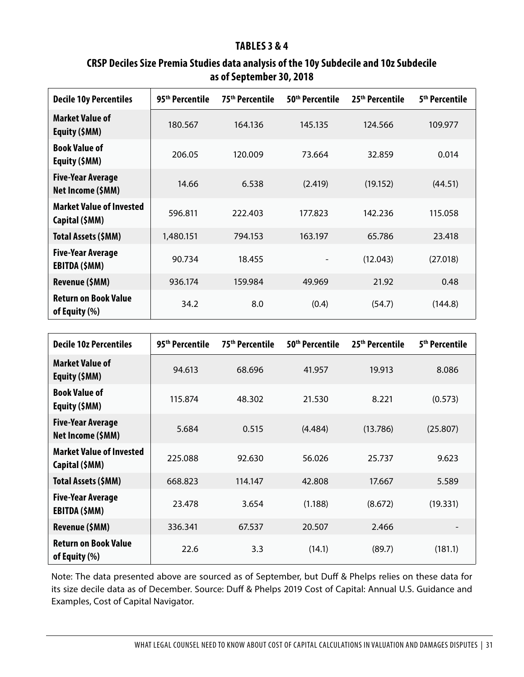#### **TABLES 3 & 4**

# **CRSP Deciles Size Premia Studies data analysis of the 10y Subdecile and 10z Subdecile as of September 30, 2018**

| <b>Decile 10y Percentiles</b>                     | 95 <sup>th</sup> Percentile | 75 <sup>th</sup> Percentile | 50 <sup>th</sup> Percentile | 25 <sup>th</sup> Percentile | 5 <sup>th</sup> Percentile |
|---------------------------------------------------|-----------------------------|-----------------------------|-----------------------------|-----------------------------|----------------------------|
| Market Value of<br>Equity (\$MM)                  | 180.567                     | 164.136                     | 145.135                     | 124.566                     | 109.977                    |
| <b>Book Value of</b><br>Equity (\$MM)             | 206.05                      | 120.009                     | 73.664                      | 32.859                      | 0.014                      |
| <b>Five-Year Average</b><br>Net Income (\$MM)     | 14.66                       | 6.538                       | (2.419)                     | (19.152)                    | (44.51)                    |
| <b>Market Value of Invested</b><br>Capital (\$MM) | 596.811                     | 222.403                     | 177.823                     | 142.236                     | 115.058                    |
| Total Assets (\$MM)                               | 1,480.151                   | 794.153                     | 163.197                     | 65.786                      | 23.418                     |
| <b>Five-Year Average</b><br>EBITDA (\$MM)         | 90.734                      | 18.455                      |                             | (12.043)                    | (27.018)                   |
| Revenue (\$MM)                                    | 936.174                     | 159.984                     | 49.969                      | 21.92                       | 0.48                       |
| <b>Return on Book Value</b><br>of Equity (%)      | 34.2                        | 8.0                         | (0.4)                       | (54.7)                      | (144.8)                    |

| <b>Decile 10z Percentiles</b>                     | 95 <sup>th</sup> Percentile | 75 <sup>th</sup> Percentile | 50 <sup>th</sup> Percentile | 25 <sup>th</sup> Percentile | 5 <sup>th</sup> Percentile |
|---------------------------------------------------|-----------------------------|-----------------------------|-----------------------------|-----------------------------|----------------------------|
| <b>Market Value of</b><br>Equity (\$MM)           | 94.613                      | 68.696                      | 41.957                      | 19.913                      | 8.086                      |
| <b>Book Value of</b><br>Equity (\$MM)             | 115.874                     | 48.302                      | 21.530                      | 8.221                       | (0.573)                    |
| <b>Five-Year Average</b><br>Net Income (\$MM)     | 5.684                       | 0.515                       | (4.484)                     | (13.786)                    | (25.807)                   |
| <b>Market Value of Invested</b><br>Capital (\$MM) | 225.088                     | 92.630                      | 56.026                      | 25.737                      | 9.623                      |
| Total Assets (\$MM)                               | 668.823                     | 114.147                     | 42.808                      | 17.667                      | 5.589                      |
| <b>Five-Year Average</b><br>EBITDA (\$MM)         | 23.478                      | 3.654                       | (1.188)                     | (8.672)                     | (19.331)                   |
| Revenue (\$MM)                                    | 336.341                     | 67.537                      | 20.507                      | 2.466                       |                            |
| <b>Return on Book Value</b><br>of Equity (%)      | 22.6                        | 3.3                         | (14.1)                      | (89.7)                      | (181.1)                    |

Note: The data presented above are sourced as of September, but Duff & Phelps relies on these data for its size decile data as of December. Source: Duff & Phelps 2019 Cost of Capital: Annual U.S. Guidance and Examples, Cost of Capital Navigator.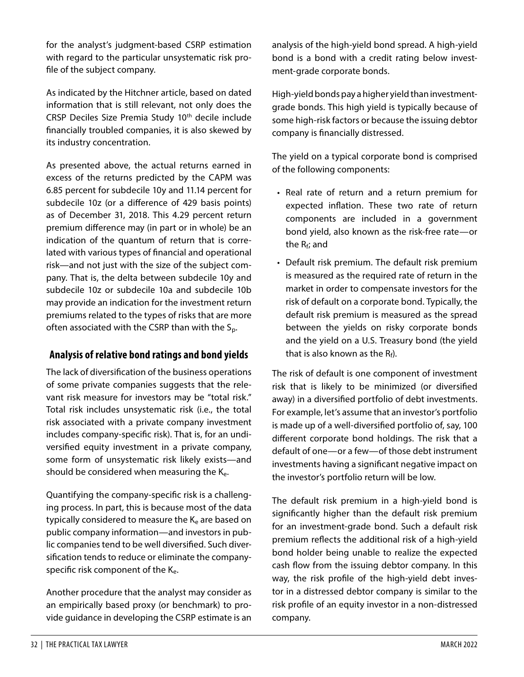for the analyst's judgment-based CSRP estimation with regard to the particular unsystematic risk profile of the subject company.

As indicated by the Hitchner article, based on dated information that is still relevant, not only does the CRSP Deciles Size Premia Study 10<sup>th</sup> decile include financially troubled companies, it is also skewed by its industry concentration.

As presented above, the actual returns earned in excess of the returns predicted by the CAPM was 6.85 percent for subdecile 10y and 11.14 percent for subdecile 10z (or a difference of 429 basis points) as of December 31, 2018. This 4.29 percent return premium difference may (in part or in whole) be an indication of the quantum of return that is correlated with various types of financial and operational risk—and not just with the size of the subject company. That is, the delta between subdecile 10y and subdecile 10z or subdecile 10a and subdecile 10b may provide an indication for the investment return premiums related to the types of risks that are more often associated with the CSRP than with the  $S_p$ .

# **Analysis of relative bond ratings and bond yields**

The lack of diversification of the business operations of some private companies suggests that the relevant risk measure for investors may be "total risk." Total risk includes unsystematic risk (i.e., the total risk associated with a private company investment includes company-specific risk). That is, for an undiversified equity investment in a private company, some form of unsystematic risk likely exists—and should be considered when measuring the K<sub>e</sub>.

Quantifying the company-specific risk is a challenging process. In part, this is because most of the data typically considered to measure the  $K_e$  are based on public company information—and investors in public companies tend to be well diversified. Such diversification tends to reduce or eliminate the companyspecific risk component of the  $K_{e}$ .

Another procedure that the analyst may consider as an empirically based proxy (or benchmark) to provide guidance in developing the CSRP estimate is an analysis of the high-yield bond spread. A high-yield bond is a bond with a credit rating below investment-grade corporate bonds.

High-yield bonds pay a higher yield than investmentgrade bonds. This high yield is typically because of some high-risk factors or because the issuing debtor company is financially distressed.

The yield on a typical corporate bond is comprised of the following components:

- Real rate of return and a return premium for expected inflation. These two rate of return components are included in a government bond yield, also known as the risk-free rate—or the  $R_f$ ; and
- Default risk premium. The default risk premium is measured as the required rate of return in the market in order to compensate investors for the risk of default on a corporate bond. Typically, the default risk premium is measured as the spread between the yields on risky corporate bonds and the yield on a U.S. Treasury bond (the yield that is also known as the  $R_f$ ).

The risk of default is one component of investment risk that is likely to be minimized (or diversified away) in a diversified portfolio of debt investments. For example, let's assume that an investor's portfolio is made up of a well-diversified portfolio of, say, 100 different corporate bond holdings. The risk that a default of one—or a few—of those debt instrument investments having a significant negative impact on the investor's portfolio return will be low.

The default risk premium in a high-yield bond is significantly higher than the default risk premium for an investment-grade bond. Such a default risk premium reflects the additional risk of a high-yield bond holder being unable to realize the expected cash flow from the issuing debtor company. In this way, the risk profile of the high-yield debt investor in a distressed debtor company is similar to the risk profile of an equity investor in a non-distressed company.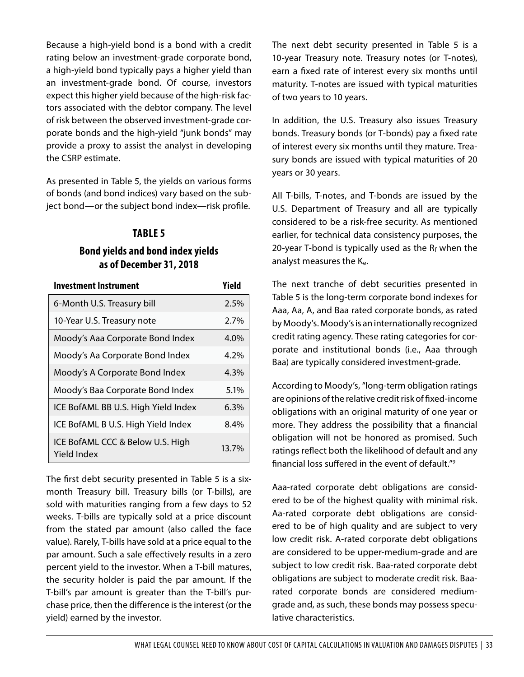Because a high-yield bond is a bond with a credit rating below an investment-grade corporate bond, a high-yield bond typically pays a higher yield than an investment-grade bond. Of course, investors expect this higher yield because of the high-risk factors associated with the debtor company. The level of risk between the observed investment-grade corporate bonds and the high-yield "junk bonds" may provide a proxy to assist the analyst in developing the CSRP estimate.

As presented in Table 5, the yields on various forms of bonds (and bond indices) vary based on the subject bond—or the subject bond index—risk profile.

#### **TABLE 5**

#### **Bond yields and bond index yields as of December 31, 2018**

| <b>Investment Instrument</b>                    | Yield |
|-------------------------------------------------|-------|
| 6-Month U.S. Treasury bill                      | 2.5%  |
| 10-Year U.S. Treasury note                      | 2.7%  |
| Moody's Aaa Corporate Bond Index                | 4.0%  |
| Moody's Aa Corporate Bond Index                 | 4.2%  |
| Moody's A Corporate Bond Index                  | 4.3%  |
| Moody's Baa Corporate Bond Index                | 5.1%  |
| ICE BofAML BB U.S. High Yield Index             | 6.3%  |
| ICE BofAML B U.S. High Yield Index              | 8.4%  |
| ICE BofAML CCC & Below U.S. High<br>Yield Index | 13.7% |

The first debt security presented in Table 5 is a sixmonth Treasury bill. Treasury bills (or T-bills), are sold with maturities ranging from a few days to 52 weeks. T-bills are typically sold at a price discount from the stated par amount (also called the face value). Rarely, T-bills have sold at a price equal to the par amount. Such a sale effectively results in a zero percent yield to the investor. When a T-bill matures, the security holder is paid the par amount. If the T-bill's par amount is greater than the T-bill's purchase price, then the difference is the interest (or the yield) earned by the investor.

The next debt security presented in Table 5 is a 10-year Treasury note. Treasury notes (or T-notes), earn a fixed rate of interest every six months until maturity. T-notes are issued with typical maturities of two years to 10 years.

In addition, the U.S. Treasury also issues Treasury bonds. Treasury bonds (or T-bonds) pay a fixed rate of interest every six months until they mature. Treasury bonds are issued with typical maturities of 20 years or 30 years.

All T-bills, T-notes, and T-bonds are issued by the U.S. Department of Treasury and all are typically considered to be a risk-free security. As mentioned earlier, for technical data consistency purposes, the 20-year T-bond is typically used as the  $R_f$  when the analyst measures the Ke.

The next tranche of debt securities presented in Table 5 is the long-term corporate bond indexes for Aaa, Aa, A, and Baa rated corporate bonds, as rated by Moody's. Moody's is an internationally recognized credit rating agency. These rating categories for corporate and institutional bonds (i.e., Aaa through Baa) are typically considered investment-grade.

According to Moody's, "long-term obligation ratings are opinions of the relative credit risk of fixed-income obligations with an original maturity of one year or more. They address the possibility that a financial obligation will not be honored as promised. Such ratings reflect both the likelihood of default and any financial loss suffered in the event of default."[9](#page-21-8)

Aaa-rated corporate debt obligations are considered to be of the highest quality with minimal risk. Aa-rated corporate debt obligations are considered to be of high quality and are subject to very low credit risk. A-rated corporate debt obligations are considered to be upper-medium-grade and are subject to low credit risk. Baa-rated corporate debt obligations are subject to moderate credit risk. Baarated corporate bonds are considered mediumgrade and, as such, these bonds may possess speculative characteristics.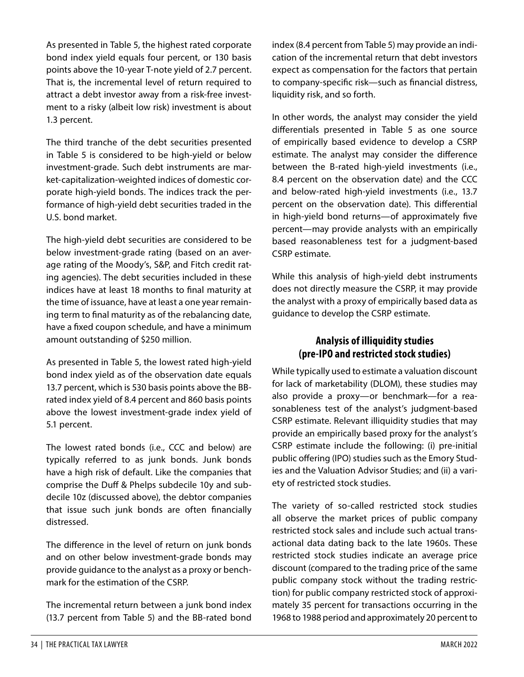As presented in Table 5, the highest rated corporate bond index yield equals four percent, or 130 basis points above the 10-year T-note yield of 2.7 percent. That is, the incremental level of return required to attract a debt investor away from a risk-free investment to a risky (albeit low risk) investment is about 1.3 percent.

The third tranche of the debt securities presented in Table 5 is considered to be high-yield or below investment-grade. Such debt instruments are market-capitalization-weighted indices of domestic corporate high-yield bonds. The indices track the performance of high-yield debt securities traded in the U.S. bond market.

The high-yield debt securities are considered to be below investment-grade rating (based on an average rating of the Moody's, S&P, and Fitch credit rating agencies). The debt securities included in these indices have at least 18 months to final maturity at the time of issuance, have at least a one year remaining term to final maturity as of the rebalancing date, have a fixed coupon schedule, and have a minimum amount outstanding of \$250 million.

As presented in Table 5, the lowest rated high-yield bond index yield as of the observation date equals 13.7 percent, which is 530 basis points above the BBrated index yield of 8.4 percent and 860 basis points above the lowest investment-grade index yield of 5.1 percent.

The lowest rated bonds (i.e., CCC and below) are typically referred to as junk bonds. Junk bonds have a high risk of default. Like the companies that comprise the Duff & Phelps subdecile 10y and subdecile 10z (discussed above), the debtor companies that issue such junk bonds are often financially distressed.

The difference in the level of return on junk bonds and on other below investment-grade bonds may provide guidance to the analyst as a proxy or benchmark for the estimation of the CSRP.

The incremental return between a junk bond index (13.7 percent from Table 5) and the BB-rated bond

index (8.4 percent from Table 5) may provide an indication of the incremental return that debt investors expect as compensation for the factors that pertain to company-specific risk—such as financial distress, liquidity risk, and so forth.

In other words, the analyst may consider the yield differentials presented in Table 5 as one source of empirically based evidence to develop a CSRP estimate. The analyst may consider the difference between the B-rated high-yield investments (i.e., 8.4 percent on the observation date) and the CCC and below-rated high-yield investments (i.e., 13.7 percent on the observation date). This differential in high-yield bond returns—of approximately five percent—may provide analysts with an empirically based reasonableness test for a judgment-based CSRP estimate.

While this analysis of high-yield debt instruments does not directly measure the CSRP, it may provide the analyst with a proxy of empirically based data as guidance to develop the CSRP estimate.

# **Analysis of illiquidity studies (pre-IPO and restricted stock studies)**

While typically used to estimate a valuation discount for lack of marketability (DLOM), these studies may also provide a proxy—or benchmark—for a reasonableness test of the analyst's judgment-based CSRP estimate. Relevant illiquidity studies that may provide an empirically based proxy for the analyst's CSRP estimate include the following: (i) pre-initial public offering (IPO) studies such as the Emory Studies and the Valuation Advisor Studies; and (ii) a variety of restricted stock studies.

The variety of so-called restricted stock studies all observe the market prices of public company restricted stock sales and include such actual transactional data dating back to the late 1960s. These restricted stock studies indicate an average price discount (compared to the trading price of the same public company stock without the trading restriction) for public company restricted stock of approximately 35 percent for transactions occurring in the 1968 to 1988 period and approximately 20 percent to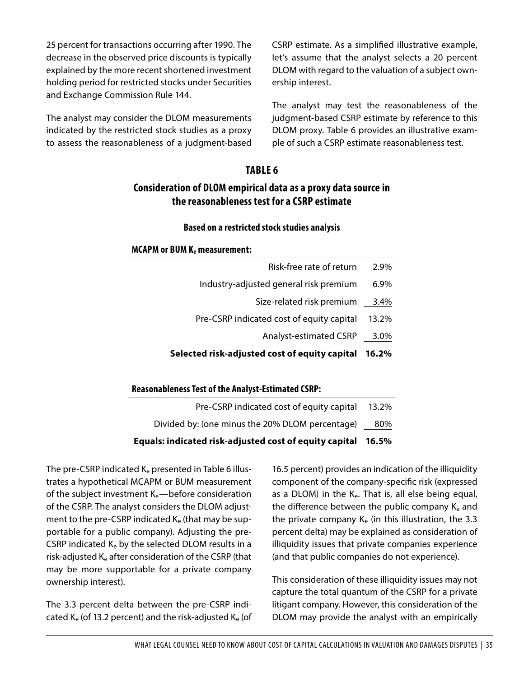25 percent for transactions occurring after 1990. The decrease in the observed price discounts is typically explained by the more recent shortened investment holding period for restricted stocks under Securities and Exchange Commission Rule 144.

The analyst may consider the DLOM measurements indicated by the restricted stock studies as a proxy to assess the reasonableness of a judgment-based

CSRP estimate. As a simplified illustrative example, let's assume that the analyst selects a 20 percent DLOM with regard to the valuation of a subject ownership interest.

The analyst may test the reasonableness of the judgment-based CSRP estimate by reference to this DLOM proxy. Table 6 provides an illustrative example of such a CSRP estimate reasonableness test.

#### **TABLE 6**

# **Consideration of DLOM empirical data as a proxy data source in the reasonableness test for a CSRP estimate**

#### **Based on a restricted stock studies analysis**

#### **MCAPM or BUM Ke measurement:**

| Selected risk-adjusted cost of equity capital | 16.2% |
|-----------------------------------------------|-------|
| Analyst-estimated CSRP                        | 3.0%  |
| Pre-CSRP indicated cost of equity capital     | 13.2% |
| Size-related risk premium                     | 3.4%  |
| Industry-adjusted general risk premium        | 6.9%  |
| Risk-free rate of return                      | 2.9%  |

| <b>Reasonableness Test of the Analyst-Estimated CSRP:</b> |
|-----------------------------------------------------------|
|-----------------------------------------------------------|

| Equals: indicated risk-adjusted cost of equity capital | 16.5% |
|--------------------------------------------------------|-------|
| Divided by: (one minus the 20% DLOM percentage)        | 80%   |
| Pre-CSRP indicated cost of equity capital              | 13.2% |

The pre-CSRP indicated  $K_e$  presented in Table 6 illustrates a hypothetical MCAPM or BUM measurement of the subject investment  $K_e$ —before consideration of the CSRP. The analyst considers the DLOM adjustment to the pre-CSRP indicated  $K_e$  (that may be supportable for a public company). Adjusting the pre-CSRP indicated  $K_e$  by the selected DLOM results in a risk-adjusted Ke after consideration of the CSRP (that may be more supportable for a private company ownership interest).

The 3.3 percent delta between the pre-CSRP indicated  $K_e$  (of 13.2 percent) and the risk-adjusted  $K_e$  (of 16.5 percent) provides an indication of the illiquidity component of the company-specific risk (expressed as a DLOM) in the  $K_{e}$ . That is, all else being equal, the difference between the public company  $K<sub>e</sub>$  and the private company  $K_e$  (in this illustration, the 3.3 percent delta) may be explained as consideration of illiquidity issues that private companies experience (and that public companies do not experience).

This consideration of these illiquidity issues may not capture the total quantum of the CSRP for a private litigant company. However, this consideration of the DLOM may provide the analyst with an empirically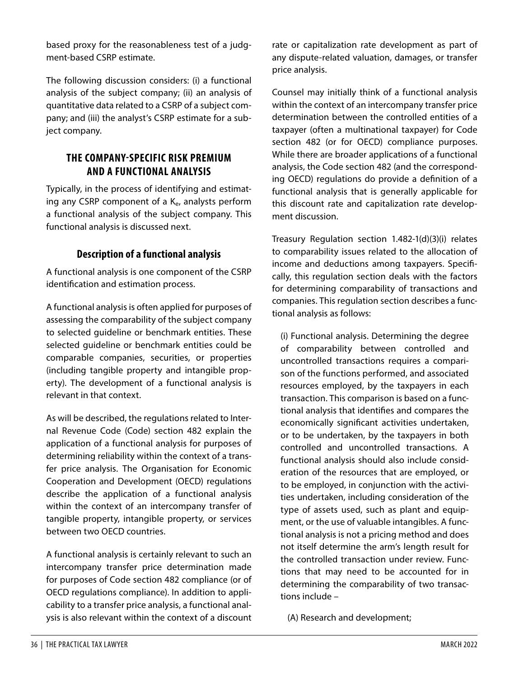based proxy for the reasonableness test of a judgment-based CSRP estimate.

The following discussion considers: (i) a functional analysis of the subject company; (ii) an analysis of quantitative data related to a CSRP of a subject company; and (iii) the analyst's CSRP estimate for a subject company.

# **THE COMPANY-SPECIFIC RISK PREMIUM AND A FUNCTIONAL ANALYSIS**

Typically, in the process of identifying and estimating any CSRP component of a  $K_{e}$ , analysts perform a functional analysis of the subject company. This functional analysis is discussed next.

# **Description of a functional analysis**

A functional analysis is one component of the CSRP identification and estimation process.

A functional analysis is often applied for purposes of assessing the comparability of the subject company to selected guideline or benchmark entities. These selected guideline or benchmark entities could be comparable companies, securities, or properties (including tangible property and intangible property). The development of a functional analysis is relevant in that context.

As will be described, the regulations related to Internal Revenue Code (Code) section 482 explain the application of a functional analysis for purposes of determining reliability within the context of a transfer price analysis. The Organisation for Economic Cooperation and Development (OECD) regulations describe the application of a functional analysis within the context of an intercompany transfer of tangible property, intangible property, or services between two OECD countries.

A functional analysis is certainly relevant to such an intercompany transfer price determination made for purposes of Code section 482 compliance (or of OECD regulations compliance). In addition to applicability to a transfer price analysis, a functional analysis is also relevant within the context of a discount rate or capitalization rate development as part of any dispute-related valuation, damages, or transfer price analysis.

Counsel may initially think of a functional analysis within the context of an intercompany transfer price determination between the controlled entities of a taxpayer (often a multinational taxpayer) for Code section 482 (or for OECD) compliance purposes. While there are broader applications of a functional analysis, the Code section 482 (and the corresponding OECD) regulations do provide a definition of a functional analysis that is generally applicable for this discount rate and capitalization rate development discussion.

Treasury Regulation section 1.482-1(d)(3)(i) relates to comparability issues related to the allocation of income and deductions among taxpayers. Specifically, this regulation section deals with the factors for determining comparability of transactions and companies. This regulation section describes a functional analysis as follows:

(i) Functional analysis. Determining the degree of comparability between controlled and uncontrolled transactions requires a comparison of the functions performed, and associated resources employed, by the taxpayers in each transaction. This comparison is based on a functional analysis that identifies and compares the economically significant activities undertaken, or to be undertaken, by the taxpayers in both controlled and uncontrolled transactions. A functional analysis should also include consideration of the resources that are employed, or to be employed, in conjunction with the activities undertaken, including consideration of the type of assets used, such as plant and equipment, or the use of valuable intangibles. A functional analysis is not a pricing method and does not itself determine the arm's length result for the controlled transaction under review. Functions that may need to be accounted for in determining the comparability of two transactions include –

(A) Research and development;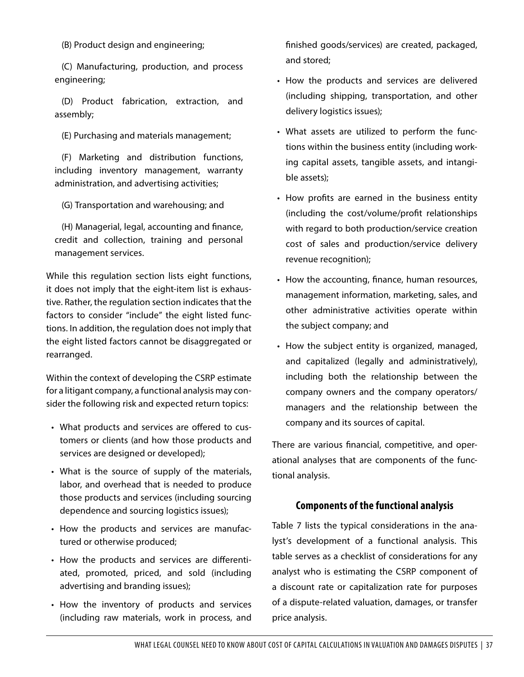(B) Product design and engineering;

(C) Manufacturing, production, and process engineering;

(D) Product fabrication, extraction, and assembly;

(E) Purchasing and materials management;

(F) Marketing and distribution functions, including inventory management, warranty administration, and advertising activities;

(G) Transportation and warehousing; and

(H) Managerial, legal, accounting and finance, credit and collection, training and personal management services.

While this regulation section lists eight functions, it does not imply that the eight-item list is exhaustive. Rather, the regulation section indicates that the factors to consider "include" the eight listed functions. In addition, the regulation does not imply that the eight listed factors cannot be disaggregated or rearranged.

Within the context of developing the CSRP estimate for a litigant company, a functional analysis may consider the following risk and expected return topics:

- What products and services are offered to customers or clients (and how those products and services are designed or developed);
- What is the source of supply of the materials, labor, and overhead that is needed to produce those products and services (including sourcing dependence and sourcing logistics issues);
- How the products and services are manufactured or otherwise produced;
- How the products and services are differentiated, promoted, priced, and sold (including advertising and branding issues);
- How the inventory of products and services (including raw materials, work in process, and

finished goods/services) are created, packaged, and stored;

- How the products and services are delivered (including shipping, transportation, and other delivery logistics issues);
- What assets are utilized to perform the functions within the business entity (including working capital assets, tangible assets, and intangible assets);
- How profits are earned in the business entity (including the cost/volume/profit relationships with regard to both production/service creation cost of sales and production/service delivery revenue recognition);
- How the accounting, finance, human resources, management information, marketing, sales, and other administrative activities operate within the subject company; and
- How the subject entity is organized, managed, and capitalized (legally and administratively), including both the relationship between the company owners and the company operators/ managers and the relationship between the company and its sources of capital.

There are various financial, competitive, and operational analyses that are components of the functional analysis.

#### **Components of the functional analysis**

Table 7 lists the typical considerations in the analyst's development of a functional analysis. This table serves as a checklist of considerations for any analyst who is estimating the CSRP component of a discount rate or capitalization rate for purposes of a dispute-related valuation, damages, or transfer price analysis.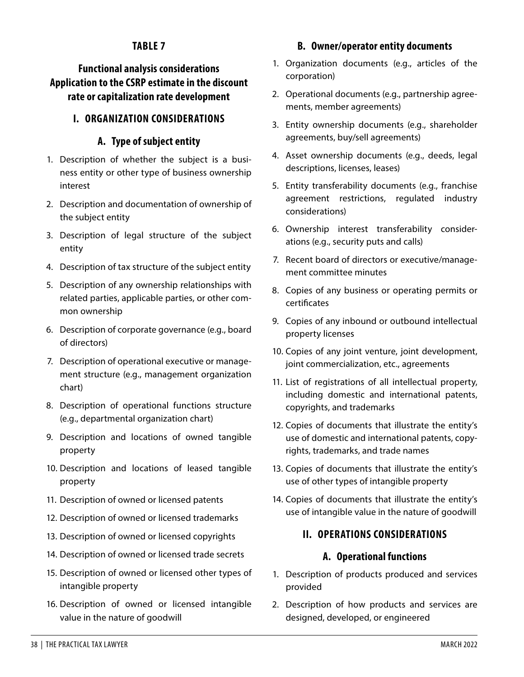# **TABLE 7**

# **Functional analysis considerations Application to the CSRP estimate in the discount rate or capitalization rate development**

# **I. ORGANIZATION CONSIDERATIONS**

#### **A. Type of subject entity**

- 1. Description of whether the subject is a business entity or other type of business ownership interest
- 2. Description and documentation of ownership of the subject entity
- 3. Description of legal structure of the subject entity
- 4. Description of tax structure of the subject entity
- 5. Description of any ownership relationships with related parties, applicable parties, or other common ownership
- 6. Description of corporate governance (e.g., board of directors)
- 7. Description of operational executive or management structure (e.g., management organization chart)
- 8. Description of operational functions structure (e.g., departmental organization chart)
- 9. Description and locations of owned tangible property
- 10. Description and locations of leased tangible property
- 11. Description of owned or licensed patents
- 12. Description of owned or licensed trademarks
- 13. Description of owned or licensed copyrights
- 14. Description of owned or licensed trade secrets
- 15. Description of owned or licensed other types of intangible property
- 16. Description of owned or licensed intangible value in the nature of goodwill

#### **B. Owner/operator entity documents**

- 1. Organization documents (e.g., articles of the corporation)
- 2. Operational documents (e.g., partnership agreements, member agreements)
- 3. Entity ownership documents (e.g., shareholder agreements, buy/sell agreements)
- 4. Asset ownership documents (e.g., deeds, legal descriptions, licenses, leases)
- 5. Entity transferability documents (e.g., franchise agreement restrictions, regulated industry considerations)
- 6. Ownership interest transferability considerations (e.g., security puts and calls)
- 7. Recent board of directors or executive/management committee minutes
- 8. Copies of any business or operating permits or certificates
- 9. Copies of any inbound or outbound intellectual property licenses
- 10. Copies of any joint venture, joint development, joint commercialization, etc., agreements
- 11. List of registrations of all intellectual property, including domestic and international patents, copyrights, and trademarks
- 12. Copies of documents that illustrate the entity's use of domestic and international patents, copyrights, trademarks, and trade names
- 13. Copies of documents that illustrate the entity's use of other types of intangible property
- 14. Copies of documents that illustrate the entity's use of intangible value in the nature of goodwill

#### **II. OPERATIONS CONSIDERATIONS**

#### **A. Operational functions**

- 1. Description of products produced and services provided
- 2. Description of how products and services are designed, developed, or engineered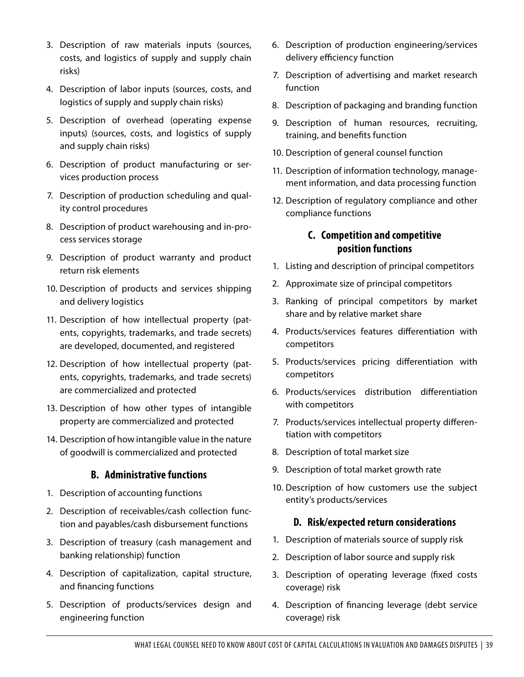- 3. Description of raw materials inputs (sources, costs, and logistics of supply and supply chain risks)
- 4. Description of labor inputs (sources, costs, and logistics of supply and supply chain risks)
- 5. Description of overhead (operating expense inputs) (sources, costs, and logistics of supply and supply chain risks)
- 6. Description of product manufacturing or services production process
- 7. Description of production scheduling and quality control procedures
- 8. Description of product warehousing and in-process services storage
- 9. Description of product warranty and product return risk elements
- 10. Description of products and services shipping and delivery logistics
- 11. Description of how intellectual property (patents, copyrights, trademarks, and trade secrets) are developed, documented, and registered
- 12. Description of how intellectual property (patents, copyrights, trademarks, and trade secrets) are commercialized and protected
- 13. Description of how other types of intangible property are commercialized and protected
- 14. Description of how intangible value in the nature of goodwill is commercialized and protected

#### **B. Administrative functions**

- 1. Description of accounting functions
- 2. Description of receivables/cash collection function and payables/cash disbursement functions
- 3. Description of treasury (cash management and banking relationship) function
- 4. Description of capitalization, capital structure, and financing functions
- 5. Description of products/services design and engineering function
- 6. Description of production engineering/services delivery efficiency function
- 7. Description of advertising and market research function
- 8. Description of packaging and branding function
- 9. Description of human resources, recruiting, training, and benefits function
- 10. Description of general counsel function
- 11. Description of information technology, management information, and data processing function
- 12. Description of regulatory compliance and other compliance functions

#### **C. Competition and competitive position functions**

- 1. Listing and description of principal competitors
- 2. Approximate size of principal competitors
- 3. Ranking of principal competitors by market share and by relative market share
- 4. Products/services features differentiation with competitors
- 5. Products/services pricing differentiation with competitors
- 6. Products/services distribution differentiation with competitors
- 7. Products/services intellectual property differentiation with competitors
- 8. Description of total market size
- 9. Description of total market growth rate
- 10. Description of how customers use the subject entity's products/services

#### **D. Risk/expected return considerations**

- 1. Description of materials source of supply risk
- 2. Description of labor source and supply risk
- 3. Description of operating leverage (fixed costs coverage) risk
- 4. Description of financing leverage (debt service coverage) risk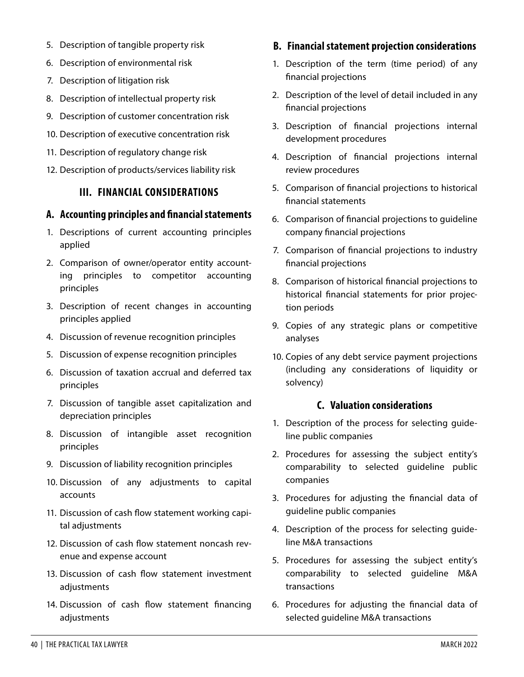- 5. Description of tangible property risk
- 6. Description of environmental risk
- 7. Description of litigation risk
- 8. Description of intellectual property risk
- 9. Description of customer concentration risk
- 10. Description of executive concentration risk
- 11. Description of regulatory change risk
- 12. Description of products/services liability risk

#### **III. FINANCIAL CONSIDERATIONS**

#### **A. Accounting principles and financial statements**

- 1. Descriptions of current accounting principles applied
- 2. Comparison of owner/operator entity accounting principles to competitor accounting principles
- 3. Description of recent changes in accounting principles applied
- 4. Discussion of revenue recognition principles
- 5. Discussion of expense recognition principles
- 6. Discussion of taxation accrual and deferred tax principles
- 7. Discussion of tangible asset capitalization and depreciation principles
- 8. Discussion of intangible asset recognition principles
- 9. Discussion of liability recognition principles
- 10. Discussion of any adjustments to capital accounts
- 11. Discussion of cash flow statement working capital adjustments
- 12. Discussion of cash flow statement noncash revenue and expense account
- 13. Discussion of cash flow statement investment adiustments
- 14. Discussion of cash flow statement financing adjustments

#### **B. Financial statement projection considerations**

- 1. Description of the term (time period) of any financial projections
- 2. Description of the level of detail included in any financial projections
- 3. Description of financial projections internal development procedures
- 4. Description of financial projections internal review procedures
- 5. Comparison of financial projections to historical financial statements
- 6. Comparison of financial projections to guideline company financial projections
- 7. Comparison of financial projections to industry financial projections
- 8. Comparison of historical financial projections to historical financial statements for prior projection periods
- 9. Copies of any strategic plans or competitive analyses
- 10. Copies of any debt service payment projections (including any considerations of liquidity or solvency)

#### **C. Valuation considerations**

- 1. Description of the process for selecting guideline public companies
- 2. Procedures for assessing the subject entity's comparability to selected guideline public companies
- 3. Procedures for adjusting the financial data of guideline public companies
- 4. Description of the process for selecting guideline M&A transactions
- 5. Procedures for assessing the subject entity's comparability to selected guideline M&A transactions
- 6. Procedures for adjusting the financial data of selected guideline M&A transactions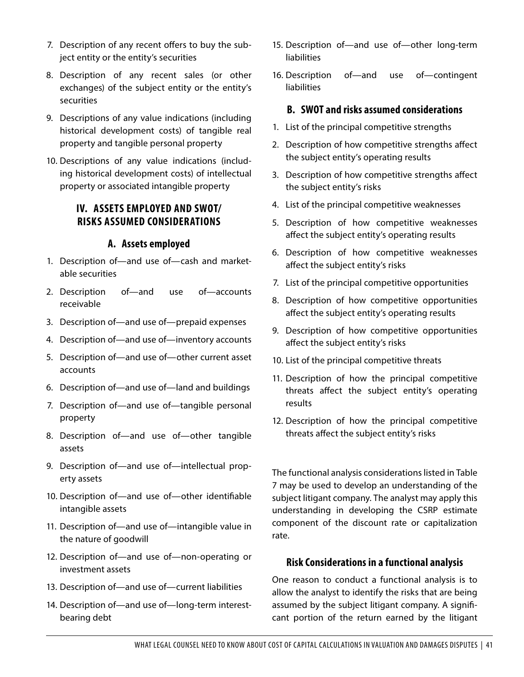- 7. Description of any recent offers to buy the subject entity or the entity's securities
- 8. Description of any recent sales (or other exchanges) of the subject entity or the entity's securities
- 9. Descriptions of any value indications (including historical development costs) of tangible real property and tangible personal property
- 10. Descriptions of any value indications (including historical development costs) of intellectual property or associated intangible property

#### **IV. ASSETS EMPLOYED AND SWOT/ RISKS ASSUMED CONSIDERATIONS**

#### **A. Assets employed**

- 1. Description of—and use of—cash and marketable securities
- 2. Description of—and use of—accounts receivable
- 3. Description of—and use of—prepaid expenses
- 4. Description of—and use of—inventory accounts
- 5. Description of—and use of—other current asset accounts
- 6. Description of—and use of—land and buildings
- 7. Description of—and use of—tangible personal property
- 8. Description of—and use of—other tangible assets
- 9. Description of—and use of—intellectual property assets
- 10. Description of—and use of—other identifiable intangible assets
- 11. Description of—and use of—intangible value in the nature of goodwill
- 12. Description of—and use of—non-operating or investment assets
- 13. Description of—and use of—current liabilities
- 14. Description of—and use of—long-term interestbearing debt
- 15. Description of—and use of—other long-term liabilities
- 16. Description of—and use of—contingent liabilities

#### **B. SWOT and risks assumed considerations**

- 1. List of the principal competitive strengths
- 2. Description of how competitive strengths affect the subject entity's operating results
- 3. Description of how competitive strengths affect the subject entity's risks
- 4. List of the principal competitive weaknesses
- 5. Description of how competitive weaknesses affect the subject entity's operating results
- 6. Description of how competitive weaknesses affect the subject entity's risks
- 7. List of the principal competitive opportunities
- 8. Description of how competitive opportunities affect the subject entity's operating results
- 9. Description of how competitive opportunities affect the subject entity's risks
- 10. List of the principal competitive threats
- 11. Description of how the principal competitive threats affect the subject entity's operating results
- 12. Description of how the principal competitive threats affect the subject entity's risks

The functional analysis considerations listed in Table 7 may be used to develop an understanding of the subject litigant company. The analyst may apply this understanding in developing the CSRP estimate component of the discount rate or capitalization rate.

#### **Risk Considerations in a functional analysis**

One reason to conduct a functional analysis is to allow the analyst to identify the risks that are being assumed by the subject litigant company. A significant portion of the return earned by the litigant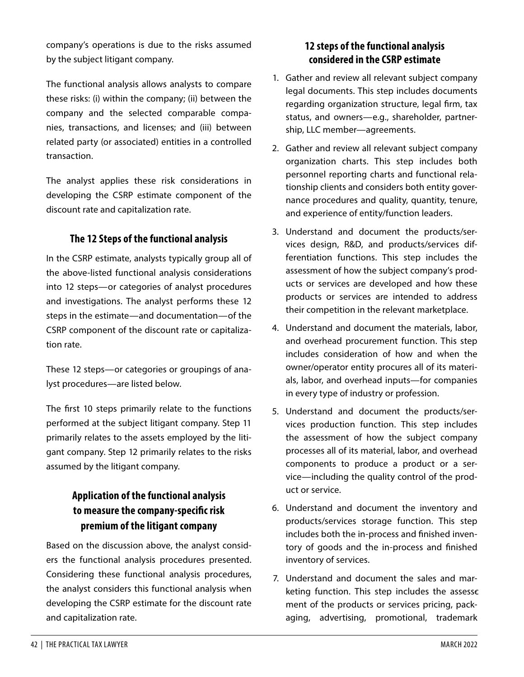company's operations is due to the risks assumed by the subject litigant company.

The functional analysis allows analysts to compare these risks: (i) within the company; (ii) between the company and the selected comparable companies, transactions, and licenses; and (iii) between related party (or associated) entities in a controlled transaction.

The analyst applies these risk considerations in developing the CSRP estimate component of the discount rate and capitalization rate.

#### **The 12 Steps of the functional analysis**

In the CSRP estimate, analysts typically group all of the above-listed functional analysis considerations into 12 steps—or categories of analyst procedures and investigations. The analyst performs these 12 steps in the estimate—and documentation—of the CSRP component of the discount rate or capitalization rate.

These 12 steps—or categories or groupings of analyst procedures—are listed below.

The first 10 steps primarily relate to the functions performed at the subject litigant company. Step 11 primarily relates to the assets employed by the litigant company. Step 12 primarily relates to the risks assumed by the litigant company.

# **Application of the functional analysis to measure the company-specific risk premium of the litigant company**

Based on the discussion above, the analyst considers the functional analysis procedures presented. Considering these functional analysis procedures, the analyst considers this functional analysis when developing the CSRP estimate for the discount rate and capitalization rate.

#### **12 steps of the functional analysis considered in the CSRP estimate**

- 1. Gather and review all relevant subject company legal documents. This step includes documents regarding organization structure, legal firm, tax status, and owners—e.g., shareholder, partnership, LLC member—agreements.
- 2. Gather and review all relevant subject company organization charts. This step includes both personnel reporting charts and functional relationship clients and considers both entity governance procedures and quality, quantity, tenure, and experience of entity/function leaders.
- 3. Understand and document the products/services design, R&D, and products/services differentiation functions. This step includes the assessment of how the subject company's products or services are developed and how these products or services are intended to address their competition in the relevant marketplace.
- 4. Understand and document the materials, labor, and overhead procurement function. This step includes consideration of how and when the owner/operator entity procures all of its materials, labor, and overhead inputs—for companies in every type of industry or profession.
- 5. Understand and document the products/services production function. This step includes the assessment of how the subject company processes all of its material, labor, and overhead components to produce a product or a service—including the quality control of the product or service.
- 6. Understand and document the inventory and products/services storage function. This step includes both the in-process and finished inventory of goods and the in-process and finished inventory of services.
- 7. Understand and document the sales and marketing function. This step includes the assesse ment of the products or services pricing, packaging, advertising, promotional, trademark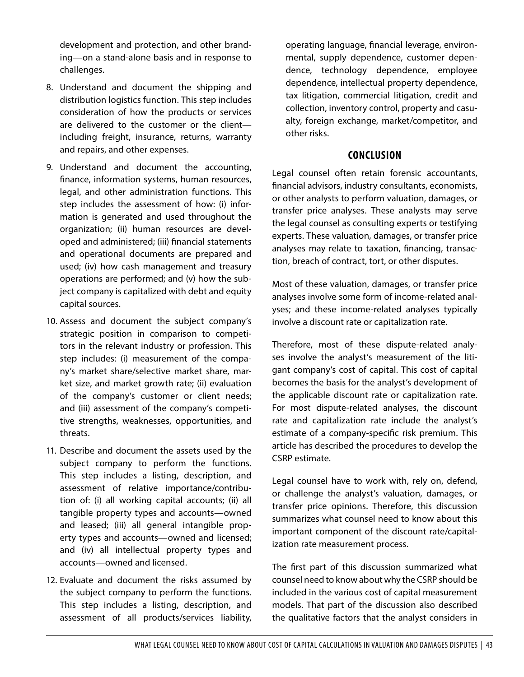development and protection, and other branding—on a stand-alone basis and in response to challenges.

- 8. Understand and document the shipping and distribution logistics function. This step includes consideration of how the products or services are delivered to the customer or the client including freight, insurance, returns, warranty and repairs, and other expenses.
- 9. Understand and document the accounting, finance, information systems, human resources, legal, and other administration functions. This step includes the assessment of how: (i) information is generated and used throughout the organization; (ii) human resources are developed and administered; (iii) financial statements and operational documents are prepared and used; (iv) how cash management and treasury operations are performed; and (v) how the subject company is capitalized with debt and equity capital sources.
- 10. Assess and document the subject company's strategic position in comparison to competitors in the relevant industry or profession. This step includes: (i) measurement of the company's market share/selective market share, market size, and market growth rate; (ii) evaluation of the company's customer or client needs; and (iii) assessment of the company's competitive strengths, weaknesses, opportunities, and threats.
- 11. Describe and document the assets used by the subject company to perform the functions. This step includes a listing, description, and assessment of relative importance/contribution of: (i) all working capital accounts; (ii) all tangible property types and accounts—owned and leased; (iii) all general intangible property types and accounts—owned and licensed; and (iv) all intellectual property types and accounts—owned and licensed.
- 12. Evaluate and document the risks assumed by the subject company to perform the functions. This step includes a listing, description, and assessment of all products/services liability,

operating language, financial leverage, environmental, supply dependence, customer dependence, technology dependence, employee dependence, intellectual property dependence, tax litigation, commercial litigation, credit and collection, inventory control, property and casualty, foreign exchange, market/competitor, and other risks.

#### **CONCLUSION**

Legal counsel often retain forensic accountants, financial advisors, industry consultants, economists, or other analysts to perform valuation, damages, or transfer price analyses. These analysts may serve the legal counsel as consulting experts or testifying experts. These valuation, damages, or transfer price analyses may relate to taxation, financing, transaction, breach of contract, tort, or other disputes.

Most of these valuation, damages, or transfer price analyses involve some form of income-related analyses; and these income-related analyses typically involve a discount rate or capitalization rate.

Therefore, most of these dispute-related analyses involve the analyst's measurement of the litigant company's cost of capital. This cost of capital becomes the basis for the analyst's development of the applicable discount rate or capitalization rate. For most dispute-related analyses, the discount rate and capitalization rate include the analyst's estimate of a company-specific risk premium. This article has described the procedures to develop the CSRP estimate.

Legal counsel have to work with, rely on, defend, or challenge the analyst's valuation, damages, or transfer price opinions. Therefore, this discussion summarizes what counsel need to know about this important component of the discount rate/capitalization rate measurement process.

The first part of this discussion summarized what counsel need to know about why the CSRP should be included in the various cost of capital measurement models. That part of the discussion also described the qualitative factors that the analyst considers in